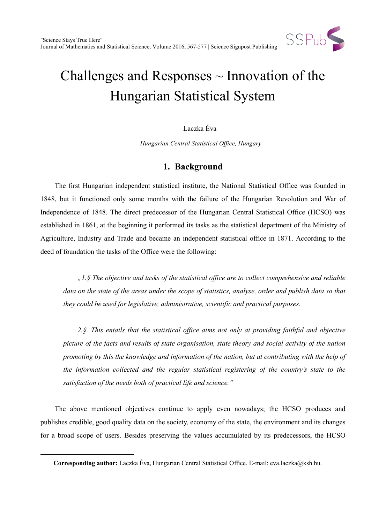

# Challenges and Responses  $\sim$  Innovation of the Hungarian Statistical System

## Laczka Éva

*Hungarian Central Statistical Office, Hungary*

# **1. Background**

The first Hungarian independent statistical institute, the National Statistical Office was founded in 1848, but it functioned only some months with the failure of the Hungarian Revolution and War of Independence of 1848. The direct predecessor of the Hungarian Central Statistical Office (HCSO) was established in 1861, at the beginning it performed its tasks as the statistical department of the Ministry of Agriculture, Industry and Trade and became an independent statistical office in 1871. According to the deed of foundation the tasks of the Office were the following:

*"1.§ The objective and tasks of the statistical office are to collect comprehensive and reliable data on the state of the areas under the scope of statistics, analyse, order and publish data so that they could be used for legislative, administrative, scientific and practical purposes.*

*2.§. This entails that the statistical office aims not only at providing faithful and objective picture of the facts and results of state organisation, state theory and social activity of the nation promoting by this the knowledge and information of the nation, but at contributing with the help of the information collected and the regular statistical registering of the country's state to the satisfaction of the needs both of practical life and science."*

The above mentioned objectives continue to apply even nowadays; the HCSO produces and publishes credible, good quality data on the society, economy of the state, the environment and its changes for a broad scope of users. Besides preserving the values accumulated by its predecessors, the HCSO

 $\ddot{ }$ 

**Corresponding author:** Laczka Éva, Hungarian Central Statistical Office. E-mail: eva.laczka@ksh.hu.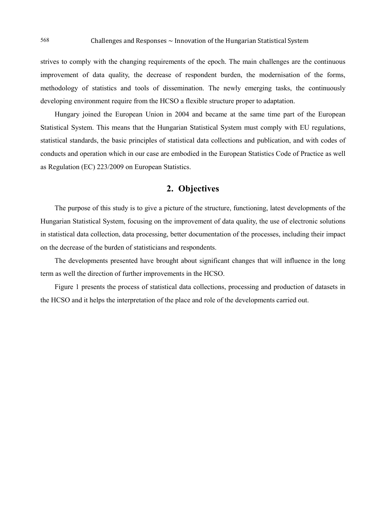strives to comply with the changing requirements of the epoch. The main challenges are the continuous improvement of data quality, the decrease of respondent burden, the modernisation of the forms, methodology of statistics and tools of dissemination. The newly emerging tasks, the continuously developing environment require from the HCSO a flexible structure proper to adaptation.

Hungary joined the European Union in 2004 and became at the same time part of the European Statistical System. This means that the Hungarian Statistical System must comply with EU regulations, statistical standards, the basic principles of statistical data collections and publication, and with codes of conducts and operation which in our case are embodied in the European Statistics Code of Practice as well as Regulation (EC) 223/2009 on European Statistics.

## **2. Objectives**

The purpose of this study is to give a picture of the structure, functioning, latest developments of the Hungarian Statistical System, focusing on the improvement of data quality, the use of electronic solutions in statistical data collection, data processing, better documentation of the processes, including their impact on the decrease of the burden of statisticians and respondents.

The developments presented have brought about significant changes that will influence in the long term as well the direction of further improvements in the HCSO.

Figure 1 presents the process of statistical data collections, processing and production of datasets in the HCSO and it helps the interpretation of the place and role of the developments carried out.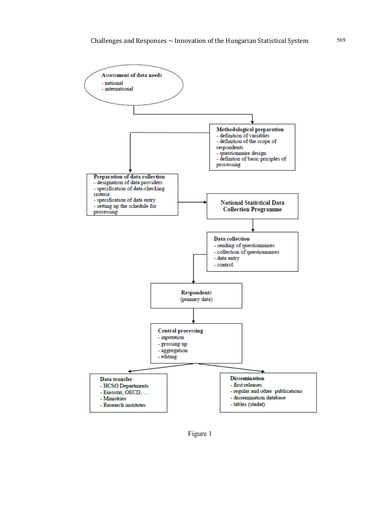

Figure 1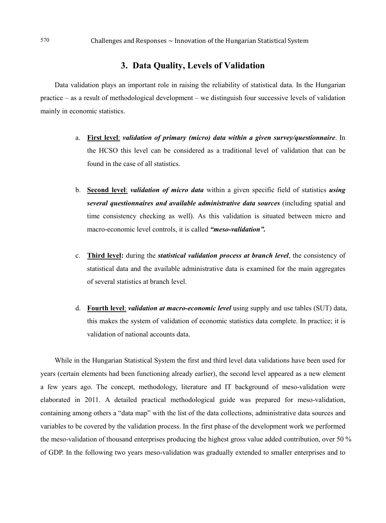## **3. Data Quality, Levels of Validation**

Data validation plays an important role in raising the reliability of statistical data. In the Hungarian practice – as a result of methodological development – we distinguish four successive levels of validation mainly in economic statistics.

- a. **First level**: *validation of primary (micro) data within a given survey/questionnaire*. In the HCSO this level can be considered as a traditional level of validation that can be found in the case of all statistics.
- b. **Second level**: *validation of micro data* within a given specific field of statistics *using several questionnaires and available administrative data sources* (including spatial and time consistency checking as well). As this validation is situated between micro and macro-economic level controls, it is called *"meso-validation".*
- c. **Third level:** during the *statistical validation process at branch level*, the consistency of statistical data and the available administrative data is examined for the main aggregates of several statistics at branch level.
- d. **Fourth level**: *validation at macro-economic level* using supply and use tables (SUT) data, this makes the system of validation of economic statistics data complete. In practice; it is validation of national accounts data.

While in the Hungarian Statistical System the first and third level data validations have been used for years (certain elements had been functioning already earlier), the second level appeared as a new element a few years ago. The concept, methodology, literature and IT background of meso-validation were elaborated in 2011. A detailed practical methodological guide was prepared for meso-validation, containing among others a "data map" with the list of the data collections, administrative data sources and variables to be covered by the validation process. In the first phase of the development work we performed the meso-validation of thousand enterprises producing the highest gross value added contribution, over 50 % of GDP. In the following two years meso-validation was gradually extended to smaller enterprises and to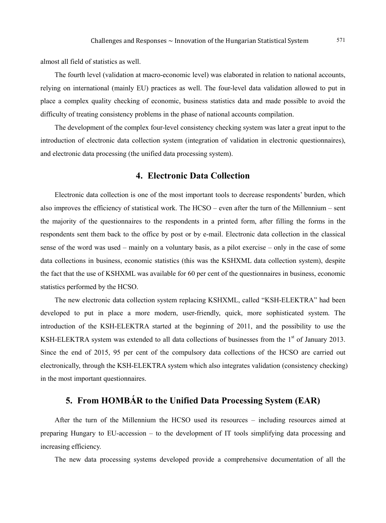almost all field of statistics as well.

The fourth level (validation at macro-economic level) was elaborated in relation to national accounts, relying on international (mainly EU) practices as well. The four-level data validation allowed to put in place a complex quality checking of economic, business statistics data and made possible to avoid the difficulty of treating consistency problems in the phase of national accounts compilation.

The development of the complex four-level consistency checking system was later a great input to the introduction of electronic data collection system (integration of validation in electronic questionnaires), and electronic data processing (the unified data processing system).

## **4. Electronic Data Collection**

Electronic data collection is one of the most important tools to decrease respondents' burden, which also improves the efficiency of statistical work. The HCSO – even after the turn of the Millennium – sent the majority of the questionnaires to the respondents in a printed form, after filling the forms in the respondents sent them back to the office by post or by e-mail. Electronic data collection in the classical sense of the word was used – mainly on a voluntary basis, as a pilot exercise – only in the case of some data collections in business, economic statistics (this was the KSHXML data collection system), despite the fact that the use of KSHXML was available for 60 per cent of the questionnaires in business, economic statistics performed by the HCSO.

The new electronic data collection system replacing KSHXML, called "KSH-ELEKTRA" had been developed to put in place a more modern, user-friendly, quick, more sophisticated system. The introduction of the KSH-ELEKTRA started at the beginning of 2011, and the possibility to use the KSH-ELEKTRA system was extended to all data collections of businesses from the 1<sup>st</sup> of January 2013. Since the end of 2015, 95 per cent of the compulsory data collections of the HCSO are carried out electronically, through the KSH-ELEKTRA system which also integrates validation (consistency checking) in the most important questionnaires.

# **5. From HOMBÁR to the Unified Data Processing System (EAR)**

After the turn of the Millennium the HCSO used its resources – including resources aimed at preparing Hungary to EU-accession – to the development of IT tools simplifying data processing and increasing efficiency.

The new data processing systems developed provide a comprehensive documentation of all the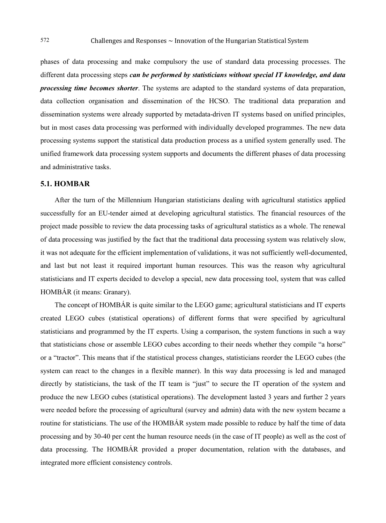phases of data processing and make compulsory the use of standard data processing processes. The different data processing steps *can be performed by statisticians without special IT knowledge, and data processing time becomes shorter*. The systems are adapted to the standard systems of data preparation, data collection organisation and dissemination of the HCSO. The traditional data preparation and dissemination systems were already supported by metadata-driven IT systems based on unified principles, but in most cases data processing was performed with individually developed programmes. The new data processing systems support the statistical data production process as a unified system generally used. The unified framework data processing system supports and documents the different phases of data processing and administrative tasks.

#### **5.1. HOMBAR**

After the turn of the Millennium Hungarian statisticians dealing with agricultural statistics applied successfully for an EU-tender aimed at developing agricultural statistics. The financial resources of the project made possible to review the data processing tasks of agricultural statistics as a whole. The renewal of data processing was justified by the fact that the traditional data processing system was relatively slow, it was not adequate for the efficient implementation of validations, it was not sufficiently well-documented, and last but not least it required important human resources. This was the reason why agricultural statisticians and IT experts decided to develop a special, new data processing tool, system that was called HOMBÁR (it means: Granary).

The concept of HOMBÁR is quite similar to the LEGO game; agricultural statisticians and IT experts created LEGO cubes (statistical operations) of different forms that were specified by agricultural statisticians and programmed by the IT experts. Using a comparison, the system functions in such a way that statisticians chose or assemble LEGO cubes according to their needs whether they compile "a horse" or a "tractor". This means that if the statistical process changes, statisticians reorder the LEGO cubes (the system can react to the changes in a flexible manner). In this way data processing is led and managed directly by statisticians, the task of the IT team is "just" to secure the IT operation of the system and produce the new LEGO cubes (statistical operations). The development lasted 3 years and further 2 years were needed before the processing of agricultural (survey and admin) data with the new system became a routine for statisticians. The use of the HOMBÁR system made possible to reduce by half the time of data processing and by 30-40 per cent the human resource needs (in the case of IT people) as well as the cost of data processing. The HOMBÁR provided a proper documentation, relation with the databases, and integrated more efficient consistency controls.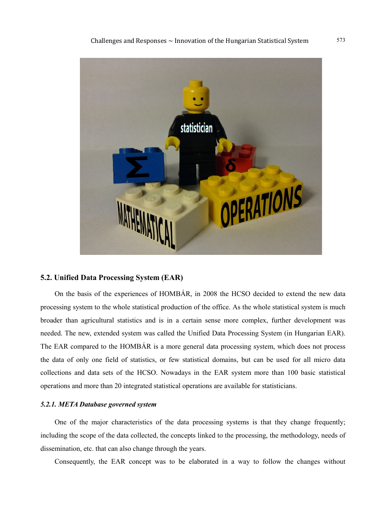

#### **5.2. Unified Data Processing System (EAR)**

On the basis of the experiences of HOMBÁR, in 2008 the HCSO decided to extend the new data processing system to the whole statistical production of the office. As the whole statistical system is much broader than agricultural statistics and is in a certain sense more complex, further development was needed. The new, extended system was called the Unified Data Processing System (in Hungarian EAR). The EAR compared to the HOMBÁR is a more general data processing system, which does not process the data of only one field of statistics, or few statistical domains, but can be used for all micro data collections and data sets of the HCSO. Nowadays in the EAR system more than 100 basic statistical operations and more than 20 integrated statistical operations are available for statisticians.

#### *5.2.1. META Database governed system*

One of the major characteristics of the data processing systems is that they change frequently; including the scope of the data collected, the concepts linked to the processing, the methodology, needs of dissemination, etc. that can also change through the years.

Consequently, the EAR concept was to be elaborated in a way to follow the changes without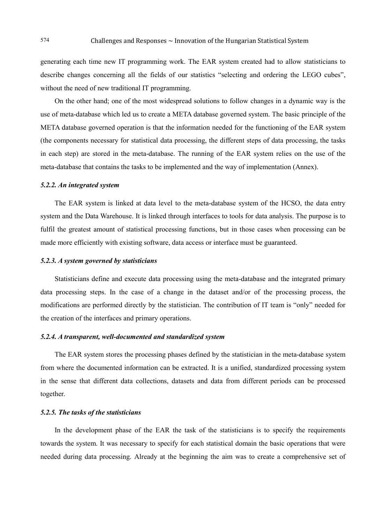generating each time new IT programming work. The EAR system created had to allow statisticians to describe changes concerning all the fields of our statistics "selecting and ordering the LEGO cubes", without the need of new traditional IT programming.

On the other hand; one of the most widespread solutions to follow changes in a dynamic way is the use of meta-database which led us to create a META database governed system. The basic principle of the META database governed operation is that the information needed for the functioning of the EAR system (the components necessary for statistical data processing, the different steps of data processing, the tasks in each step) are stored in the meta-database. The running of the EAR system relies on the use of the meta-database that contains the tasks to be implemented and the way of implementation (Annex).

#### *5.2.2. An integrated system*

The EAR system is linked at data level to the meta-database system of the HCSO, the data entry system and the Data Warehouse. It is linked through interfaces to tools for data analysis. The purpose is to fulfil the greatest amount of statistical processing functions, but in those cases when processing can be made more efficiently with existing software, data access or interface must be guaranteed.

#### *5.2.3. A system governed by statisticians*

Statisticians define and execute data processing using the meta-database and the integrated primary data processing steps. In the case of a change in the dataset and/or of the processing process, the modifications are performed directly by the statistician. The contribution of IT team is "only" needed for the creation of the interfaces and primary operations.

#### *5.2.4. A transparent, well-documented and standardized system*

The EAR system stores the processing phases defined by the statistician in the meta-database system from where the documented information can be extracted. It is a unified, standardized processing system in the sense that different data collections, datasets and data from different periods can be processed together.

#### *5.2.5. The tasks of the statisticians*

In the development phase of the EAR the task of the statisticians is to specify the requirements towards the system. It was necessary to specify for each statistical domain the basic operations that were needed during data processing. Already at the beginning the aim was to create a comprehensive set of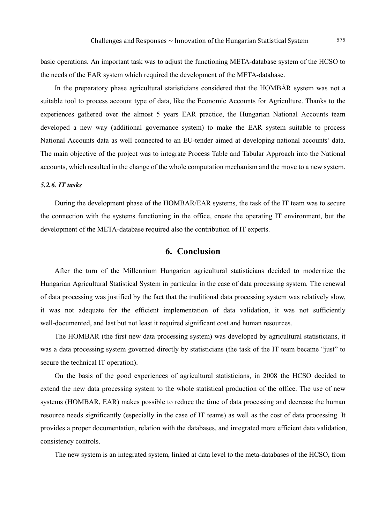basic operations. An important task was to adjust the functioning META-database system of the HCSO to the needs of the EAR system which required the development of the META-database.

In the preparatory phase agricultural statisticians considered that the HOMBÁR system was not a suitable tool to process account type of data, like the Economic Accounts for Agriculture. Thanks to the experiences gathered over the almost 5 years EAR practice, the Hungarian National Accounts team developed a new way (additional governance system) to make the EAR system suitable to process National Accounts data as well connected to an EU-tender aimed at developing national accounts' data. The main objective of the project was to integrate Process Table and Tabular Approach into the National accounts, which resulted in the change of the whole computation mechanism and the move to a new system.

#### *5.2.6. IT tasks*

During the development phase of the HOMBAR/EAR systems, the task of the IT team was to secure the connection with the systems functioning in the office, create the operating IT environment, but the development of the META-database required also the contribution of IT experts.

### **6. Conclusion**

After the turn of the Millennium Hungarian agricultural statisticians decided to modernize the Hungarian Agricultural Statistical System in particular in the case of data processing system. The renewal of data processing was justified by the fact that the traditional data processing system was relatively slow, it was not adequate for the efficient implementation of data validation, it was not sufficiently well-documented, and last but not least it required significant cost and human resources.

The HOMBAR (the first new data processing system) was developed by agricultural statisticians, it was a data processing system governed directly by statisticians (the task of the IT team became "just" to secure the technical IT operation).

On the basis of the good experiences of agricultural statisticians, in 2008 the HCSO decided to extend the new data processing system to the whole statistical production of the office. The use of new systems (HOMBAR, EAR) makes possible to reduce the time of data processing and decrease the human resource needs significantly (especially in the case of IT teams) as well as the cost of data processing. It provides a proper documentation, relation with the databases, and integrated more efficient data validation, consistency controls.

The new system is an integrated system, linked at data level to the meta-databases of the HCSO, from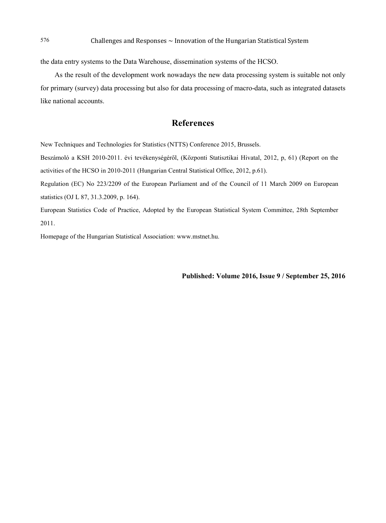the data entry systems to the Data Warehouse, dissemination systems of the HCSO.

As the result of the development work nowadays the new data processing system is suitable not only for primary (survey) data processing but also for data processing of macro-data, such as integrated datasets like national accounts.

## **References**

New Techniques and Technologies for Statistics (NTTS) Conference 2015, Brussels.

Beszámoló a KSH 2010-2011. évi tevékenységéről, (Központi Statisztikai Hivatal, 2012, p, 61) (Report on the activities of the HCSO in 2010-2011 (Hungarian Central Statistical Office, 2012, p.61).

Regulation (EC) No 223/2209 of the European Parliament and of the Council of 11 March 2009 on European statistics (OJ L 87, 31.3.2009, p. 164).

European Statistics Code of Practice, Adopted by the European Statistical System Committee, 28th September 2011.

Homepage of the Hungarian Statistical Association: www.mstnet.hu.

**Published: Volume 2016, Issue 9 / September 25, 2016**